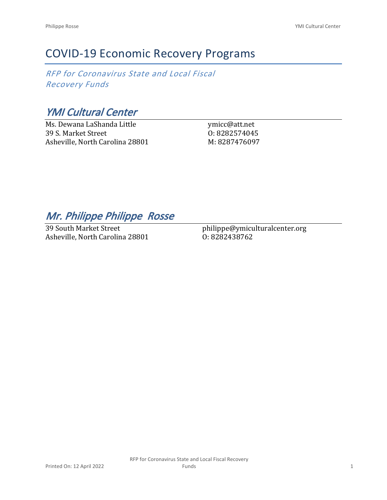## COVID-19 Economic Recovery Programs

*RFP for Coronavirus State and Local Fiscal Recovery Funds*

*YMI Cultural Center*

Ms. Dewana LaShanda Little 39 S. Market Street Asheville, North Carolina 28801

ymicc@att.net O: 8282574045 M: 8287476097

*Mr. Philippe Philippe Rosse* 

39 South Market Street Asheville, North Carolina 28801

philippe@ymiculturalcenter.org O: 8282438762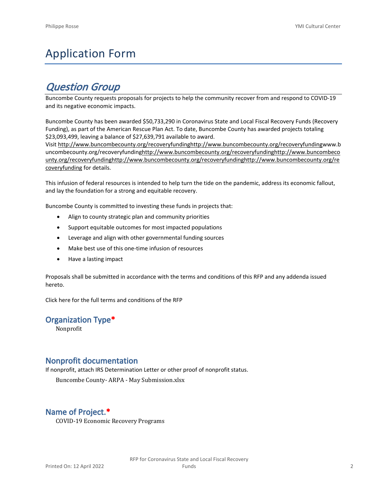# Application Form

## *Question Group*

Buncombe County requests proposals for projects to help the community recover from and respond to COVID-19 and its negative economic impacts.

Buncombe County has been awarded \$50,733,290 in Coronavirus State and Local Fiscal Recovery Funds (Recovery Funding), as part of the American Rescue Plan Act. To date, Buncombe County has awarded projects totaling \$23,093,499, leaving a balance of \$27,639,791 available to award.

Visit [http://www.buncombecounty.org/recoveryfundinghttp://www.buncombecounty.org/recoveryfundingwww.b](http://www.buncombecounty.org/recoveryfunding) [uncombecounty.org/recoveryfundinghttp://www.buncombecounty.org/recoveryfundinghttp://www.buncombeco](http://www.buncombecounty.org/recoveryfunding) [unty.org/recoveryfundinghttp://www.buncombecounty.org/recoveryfundinghttp://www.buncombecounty.org/re](http://www.buncombecounty.org/recoveryfunding) [coveryfunding](http://www.buncombecounty.org/recoveryfunding) for details.

This infusion of federal resources is intended to help turn the tide on the pandemic, address its economic fallout, and lay the foundation for a strong and equitable recovery.

Buncombe County is committed to investing these funds in projects that:

- Align to county strategic plan and community priorities
- Support equitable outcomes for most impacted populations
- Leverage and align with other governmental funding sources
- Make best use of this one-time infusion of resources
- Have a lasting impact

Proposals shall be submitted in accordance with the terms and conditions of this RFP and any addenda issued hereto.

Click [here](https://www.buncombecounty.org/common/purchasing/Buncombe%20Recovery%20Funding%20RFP%202022.pdf) for the full terms and conditions of the RFP

### **Organization Type\***

Nonprofit

## **Nonprofit documentation**

If nonprofit, attach IRS Determination Letter or other proof of nonprofit status.

Buncombe County- ARPA - May Submission.xlsx

## **Name of Project.\***

COVID-19 Economic Recovery Programs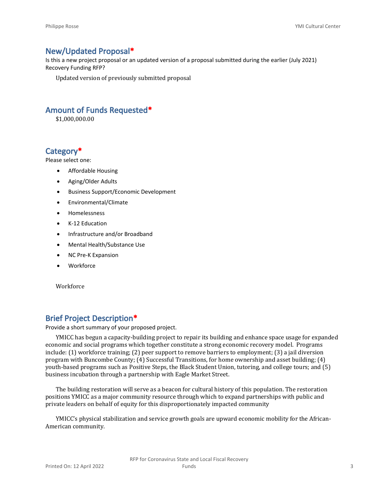## **New/Updated Proposal\***

Is this a new project proposal or an updated version of a proposal submitted during the earlier (July 2021) Recovery Funding RFP?

Updated version of previously submitted proposal

## **Amount of Funds Requested\***

\$1,000,000.00

## **Category\***

Please select one:

- Affordable Housing
- Aging/Older Adults
- Business Support/Economic Development
- Environmental/Climate
- Homelessness
- K-12 Education
- Infrastructure and/or Broadband
- Mental Health/Substance Use
- NC Pre-K Expansion
- Workforce

Workforce

## **Brief Project Description\***

Provide a short summary of your proposed project.

YMICC has begun a capacity-building project to repair its building and enhance space usage for expanded economic and social programs which together constitute a strong economic recovery model. Programs include: (1) workforce training; (2) peer support to remove barriers to employment; (3) a jail diversion program with Buncombe County; (4) Successful Transitions, for home ownership and asset building; (4) youth-based programs such as Positive Steps, the Black Student Union, tutoring, and college tours; and (5) business incubation through a partnership with Eagle Market Street.

The building restoration will serve as a beacon for cultural history of this population. The restoration positions YMICC as a major community resource through which to expand partnerships with public and private leaders on behalf of equity for this disproportionately impacted community

YMICC's physical stabilization and service growth goals are upward economic mobility for the African-American community.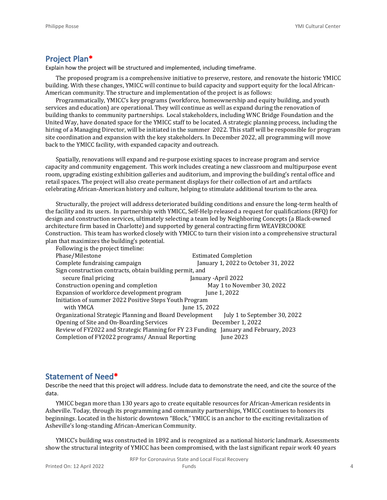## **Project Plan\***

Explain how the project will be structured and implemented, including timeframe.

The proposed program is a comprehensive initiative to preserve, restore, and renovate the historic YMICC building. With these changes, YMICC will continue to build capacity and support equity for the local African-American community. The structure and implementation of the project is as follows:

Programmatically, YMICC's key programs (workforce, homeownership and equity building, and youth services and education) are operational. They will continue as well as expand during the renovation of building thanks to community partnerships. Local stakeholders, including WNC Bridge Foundation and the United Way, have donated space for the YMICC staff to be located. A strategic planning process, including the hiring of a Managing Director, will be initiated in the summer 2022. This staff will be responsible for program site coordination and expansion with the key stakeholders. In December 2022, all programming will move back to the YMICC facility, with expanded capacity and outreach.

Spatially, renovations will expand and re-purpose existing spaces to increase program and service capacity and community engagement. This work includes creating a new classroom and multipurpose event room, upgrading existing exhibition galleries and auditorium, and improving the building's rental office and retail spaces. The project will also create permanent displays for their collection of art and artifacts celebrating African-American history and culture, helping to stimulate additional tourism to the area.

Structurally, the project will address deteriorated building conditions and ensure the long-term health of the facility and its users. In partnership with YMICC, Self-Help released a request for qualifications (RFQ) for design and construction services, ultimately selecting a team led by Neighboring Concepts (a Black-owned architecture firm based in Charlotte) and supported by general contracting firm WEAVERCOOKE Construction. This team has worked closely with YMICC to turn their vision into a comprehensive structural plan that maximizes the building's potential.  $F_0$ llowing is the

| POIJOWING IS the project timeline:                                                   |                                     |  |  |  |  |
|--------------------------------------------------------------------------------------|-------------------------------------|--|--|--|--|
| Phase/Milestone                                                                      | <b>Estimated Completion</b>         |  |  |  |  |
| Complete fundraising campaign                                                        | January 1, 2022 to October 31, 2022 |  |  |  |  |
| Sign construction contracts, obtain building permit, and                             |                                     |  |  |  |  |
| secure final pricing                                                                 | January -April 2022                 |  |  |  |  |
| Construction opening and completion                                                  | May 1 to November 30, 2022          |  |  |  |  |
| Expansion of workforce development program                                           | June 1, 2022                        |  |  |  |  |
| Initiation of summer 2022 Positive Steps Youth Program                               |                                     |  |  |  |  |
| with YMCA                                                                            | June 15, 2022                       |  |  |  |  |
| Organizational Strategic Planning and Board Development                              | July 1 to September 30, 2022        |  |  |  |  |
| Opening of Site and On-Boarding Services                                             | December 1, 2022                    |  |  |  |  |
| Review of FY2022 and Strategic Planning for FY 23 Funding January and February, 2023 |                                     |  |  |  |  |
| Completion of FY2022 programs/ Annual Reporting                                      | June 2023                           |  |  |  |  |

## **Statement of Need\***

Describe the need that this project will address. Include data to demonstrate the need, and cite the source of the data.

YMICC began more than 130 years ago to create equitable resources for African-American residents in Asheville. Today, through its programming and community partnerships, YMICC continues to honors its beginnings. Located in the historic downtown "Block," YMICC is an anchor to the exciting revitalization of Asheville's long-standing African-American Community.

YMICC's building was constructed in 1892 and is recognized as a national historic landmark. Assessments show the structural integrity of YMICC has been compromised, with the last significant repair work 40 years

RFP for Coronavirus State and Local Fiscal Recovery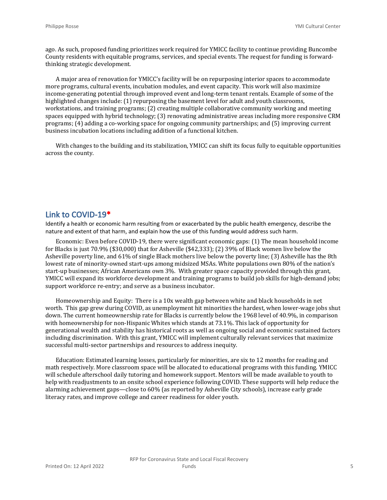ago. As such, proposed funding prioritizes work required for YMICC facility to continue providing Buncombe County residents with equitable programs, services, and special events. The request for funding is forwardthinking strategic development.

A major area of renovation for YMICC's facility will be on repurposing interior spaces to accommodate more programs, cultural events, incubation modules, and event capacity. This work will also maximize income-generating potential through improved event and long-term tenant rentals. Example of some of the highlighted changes include: (1) repurposing the basement level for adult and youth classrooms, workstations, and training programs; (2) creating multiple collaborative community working and meeting spaces equipped with hybrid technology; (3) renovating administrative areas including more responsive CRM programs; (4) adding a co-working space for ongoing community partnerships; and (5) improving current business incubation locations including addition of a functional kitchen.

With changes to the building and its stabilization, YMICC can shift its focus fully to equitable opportunities across the county.

## **Link to COVID-19\***

Identify a health or economic harm resulting from or exacerbated by the public health emergency, describe the nature and extent of that harm, and explain how the use of this funding would address such harm.

Economic: Even before COVID-19, there were significant economic gaps: (1) The mean household income for Blacks is just 70.9% (\$30,000) that for Asheville (\$42,333); (2) 39% of Black women live below the Asheville poverty line, and 61% of single Black mothers live below the poverty line; (3) Asheville has the 8th lowest rate of minority-owned start-ups among midsized MSAs. White populations own 80% of the nation's start-up businesses; African Americans own 3%. With greater space capacity provided through this grant, YMICC will expand its workforce development and training programs to build job skills for high-demand jobs; support workforce re-entry; and serve as a business incubator.

Homeownership and Equity: There is a 10x wealth gap between white and black households in net worth. This gap grew during COVID, as unemployment hit minorities the hardest, when lower-wage jobs shut down. The current homeownership rate for Blacks is currently below the 1968 level of 40.9%, in comparison with homeownership for non-Hispanic Whites which stands at 73.1%. This lack of opportunity for generational wealth and stability has historical roots as well as ongoing social and economic sustained factors including discrimination. With this grant, YMICC will implement culturally relevant services that maximize successful multi-sector partnerships and resources to address inequity.

Education: Estimated learning losses, particularly for minorities, are six to 12 months for reading and math respectively. More classroom space will be allocated to educational programs with this funding. YMICC will schedule afterschool daily tutoring and homework support. Mentors will be made available to youth to help with readjustments to an onsite school experience following COVID. These supports will help reduce the alarming achievement gaps—close to 60% (as reported by Asheville City schools), increase early grade literacy rates, and improve college and career readiness for older youth.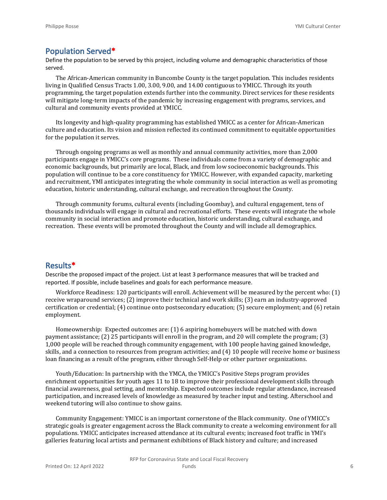## **Population Served\***

Define the population to be served by this project, including volume and demographic characteristics of those served.

The African-American community in Buncombe County is the target population. This includes residents living in Qualified Census Tracts 1.00, 3.00, 9.00, and 14.00 contiguous to YMICC. Through its youth programming, the target population extends further into the community. Direct services for these residents will mitigate long-term impacts of the pandemic by increasing engagement with programs, services, and cultural and community events provided at YMICC.

Its longevity and high-quality programming has established YMICC as a center for African-American culture and education. Its vision and mission reflected its continued commitment to equitable opportunities for the population it serves.

Through ongoing programs as well as monthly and annual community activities, more than 2,000 participants engage in YMICC's core programs. These individuals come from a variety of demographic and economic backgrounds, but primarily are local, Black, and from low socioeconomic backgrounds. This population will continue to be a core constituency for YMICC. However, with expanded capacity, marketing and recruitment, YMI anticipates integrating the whole community in social interaction as well as promoting education, historic understanding, cultural exchange, and recreation throughout the County.

Through community forums, cultural events (including Goombay), and cultural engagement, tens of thousands individuals will engage in cultural and recreational efforts. These events will integrate the whole community in social interaction and promote education, historic understanding, cultural exchange, and recreation. These events will be promoted throughout the County and will include all demographics.

### **Results\***

Describe the proposed impact of the project. List at least 3 performance measures that will be tracked and reported. If possible, include baselines and goals for each performance measure.

Workforce Readiness: 120 participants will enroll. Achievement will be measured by the percent who: (1) receive wraparound services; (2) improve their technical and work skills; (3) earn an industry-approved certification or credential; (4) continue onto postsecondary education; (5) secure employment; and (6) retain employment.

Homeownership: Expected outcomes are: (1) 6 aspiring homebuyers will be matched with down payment assistance; (2) 25 participants will enroll in the program, and 20 will complete the program; (3) 1,000 people will be reached through community engagement, with 100 people having gained knowledge, skills, and a connection to resources from program activities; and (4) 10 people will receive home or business loan financing as a result of the program, either through Self-Help or other partner organizations.

Youth/Education: In partnership with the YMCA, the YMICC's Positive Steps program provides enrichment opportunities for youth ages 11 to 18 to improve their professional development skills through financial awareness, goal setting, and mentorship. Expected outcomes include regular attendance, increased participation, and increased levels of knowledge as measured by teacher input and testing. Afterschool and weekend tutoring will also continue to show gains.

Community Engagement: YMICC is an important cornerstone of the Black community. One of YMICC's strategic goals is greater engagement across the Black community to create a welcoming environment for all populations. YMICC anticipates increased attendance at its cultural events; increased foot traffic in YMI's galleries featuring local artists and permanent exhibitions of Black history and culture; and increased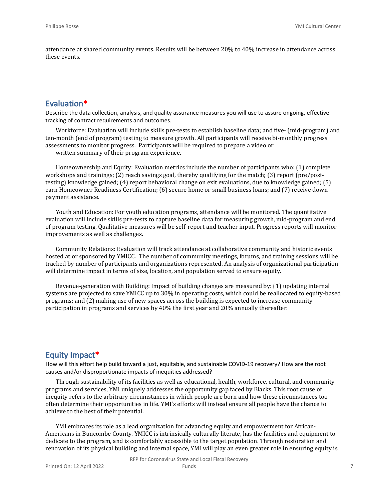attendance at shared community events. Results will be between 20% to 40% increase in attendance across these events.

## **Evaluation\***

Describe the data collection, analysis, and quality assurance measures you will use to assure ongoing, effective tracking of contract requirements and outcomes.

Workforce: Evaluation will include skills pre-tests to establish baseline data; and five- (mid-program) and ten-month (end of program) testing to measure growth. All participants will receive bi-monthly progress assessments to monitor progress. Participants will be required to prepare a video or

written summary of their program experience.

Homeownership and Equity: Evaluation metrics include the number of participants who: (1) complete workshops and trainings; (2) reach savings goal, thereby qualifying for the match; (3) report (pre/posttesting) knowledge gained; (4) report behavioral change on exit evaluations, due to knowledge gained; (5) earn Homeowner Readiness Certification; (6) secure home or small business loans; and (7) receive down payment assistance.

Youth and Education: For youth education programs, attendance will be monitored. The quantitative evaluation will include skills pre-tests to capture baseline data for measuring growth, mid-program and end of program testing. Qualitative measures will be self-report and teacher input. Progress reports will monitor improvements as well as challenges.

Community Relations: Evaluation will track attendance at collaborative community and historic events hosted at or sponsored by YMICC. The number of community meetings, forums, and training sessions will be tracked by number of participants and organizations represented. An analysis of organizational participation will determine impact in terms of size, location, and population served to ensure equity.

Revenue-generation with Building: Impact of building changes are measured by: (1) updating internal systems are projected to save YMICC up to 30% in operating costs, which could be reallocated to equity-based programs; and (2) making use of new spaces across the building is expected to increase community participation in programs and services by 40% the first year and 20% annually thereafter.

## **Equity Impact\***

How will this effort help build toward a just, equitable, and sustainable COVID-19 recovery? How are the root causes and/or disproportionate impacts of inequities addressed?

Through sustainability of its facilities as well as educational, health, workforce, cultural, and community programs and services, YMI uniquely addresses the opportunity gap faced by Blacks. This root cause of inequity refers to the arbitrary circumstances in which people are born and how these circumstances too often determine their opportunities in life. YMI's efforts will instead ensure all people have the chance to achieve to the best of their potential.

YMI embraces its role as a lead organization for advancing equity and empowerment for African-Americans in Buncombe County. YMICC is intrinsically culturally literate, has the facilities and equipment to dedicate to the program, and is comfortably accessible to the target population. Through restoration and renovation of its physical building and internal space, YMI will play an even greater role in ensuring equity is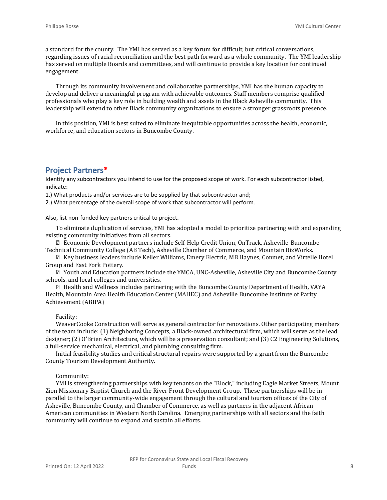a standard for the county. The YMI has served as a key forum for difficult, but critical conversations, regarding issues of racial reconciliation and the best path forward as a whole community. The YMI leadership has served on multiple Boards and committees, and will continue to provide a key location for continued engagement.

Through its community involvement and collaborative partnerships, YMI has the human capacity to develop and deliver a meaningful program with achievable outcomes. Staff members comprise qualified professionals who play a key role in building wealth and assets in the Black Asheville community. This leadership will extend to other Black community organizations to ensure a stronger grassroots presence.

In this position, YMI is best suited to eliminate inequitable opportunities across the health, economic, workforce, and education sectors in Buncombe County.

## **Project Partners\***

Identify any subcontractors you intend to use for the proposed scope of work. For each subcontractor listed, indicate:

1.) What products and/or services are to be supplied by that subcontractor and;

2.) What percentage of the overall scope of work that subcontractor will perform.

Also, list non-funded key partners critical to project.

To eliminate duplication of services, YMI has adopted a model to prioritize partnering with and expanding existing community initiatives from all sectors.

 Economic Development partners include Self-Help Credit Union, OnTrack, Asheville-Buncombe Technical Community College (AB Tech), Asheville Chamber of Commerce, and Mountain BizWorks.

 Key business leaders include Keller Williams, Emery Electric, MB Haynes, Conmet, and Virtelle Hotel Group and East Fork Pottery.

 Youth and Education partners include the YMCA, UNC-Asheville, Asheville City and Buncombe County schools. and local colleges and universities.

 Health and Wellness includes partnering with the Buncombe County Department of Health, VAYA Health, Mountain Area Health Education Center (MAHEC) and Asheville Buncombe Institute of Parity Achievement (ABIPA)

#### Facility:

WeaverCooke Construction will serve as general contractor for renovations. Other participating members of the team include: (1) Neighboring Concepts, a Black-owned architectural firm, which will serve as the lead designer; (2) O'Brien Architecture, which will be a preservation consultant; and (3) C2 Engineering Solutions, a full-service mechanical, electrical, and plumbing consulting firm.

Initial feasibility studies and critical structural repairs were supported by a grant from the Buncombe County Tourism Development Authority.

#### Community:

YMI is strengthening partnerships with key tenants on the "Block," including Eagle Market Streets, Mount Zion Missionary Baptist Church and the River Front Development Group. These partnerships will be in parallel to the larger community-wide engagement through the cultural and tourism offices of the City of Asheville, Buncombe County, and Chamber of Commerce, as well as partners in the adjacent African-American communities in Western North Carolina. Emerging partnerships with all sectors and the faith community will continue to expand and sustain all efforts.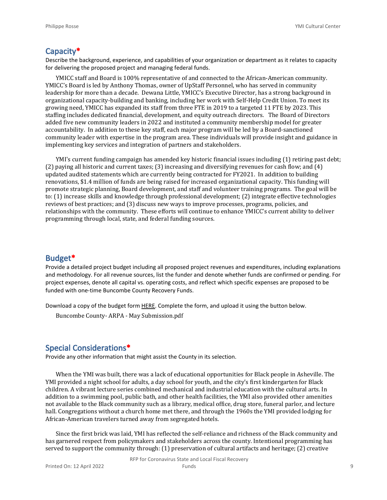### **Capacity\***

Describe the background, experience, and capabilities of your organization or department as it relates to capacity for delivering the proposed project and managing federal funds.

YMICC staff and Board is 100% representative of and connected to the African-American community. YMICC's Board is led by Anthony Thomas, owner of UpStaff Personnel, who has served in community leadership for more than a decade. Dewana Little, YMICC's Executive Director, has a strong background in organizational capacity-building and banking, including her work with Self-Help Credit Union. To meet its growing need, YMICC has expanded its staff from three FTE in 2019 to a targeted 11 FTE by 2023. This staffing includes dedicated financial, development, and equity outreach directors. The Board of Directors added five new community leaders in 2022 and instituted a community membership model for greater accountability. In addition to these key staff, each major program will be led by a Board-sanctioned community leader with expertise in the program area. These individuals will provide insight and guidance in implementing key services and integration of partners and stakeholders.

YMI's current funding campaign has amended key historic financial issues including (1) retiring past debt; (2) paying all historic and current taxes; (3) increasing and diversifying revenues for cash flow; and (4) updated audited statements which are currently being contracted for FY2021. In addition to building renovations, \$1.4 million of funds are being raised for increased organizational capacity. This funding will promote strategic planning, Board development, and staff and volunteer training programs. The goal will be to: (1) increase skills and knowledge through professional development; (2) integrate effective technologies reviews of best practices; and (3) discuss new ways to improve processes, programs, policies, and relationships with the community. These efforts will continue to enhance YMICC's current ability to deliver programming through local, state, and federal funding sources.

## **Budget\***

Provide a detailed project budget including all proposed project revenues and expenditures, including explanations and methodology. For all revenue sources, list the funder and denote whether funds are confirmed or pending. For project expenses, denote all capital vs. operating costs, and reflect which specific expenses are proposed to be funded with one-time Buncombe County Recovery Funds.

Download a copy of the budget form [HERE](https://buncombecounty.org/common/community-investment/grants/early-childhood-education/Recovery-Funds-budget-template.xlsx). Complete the form, and upload it using the button below.

Buncombe County- ARPA - May Submission.pdf

## **Special Considerations\***

Provide any other information that might assist the County in its selection.

When the YMI was built, there was a lack of educational opportunities for Black people in Asheville. The YMI provided a night school for adults, a day school for youth, and the city's first kindergarten for Black children. A vibrant lecture series combined mechanical and industrial education with the cultural arts. In addition to a swimming pool, public bath, and other health facilities, the YMI also provided other amenities not available to the Black community such as a library, medical office, drug store, funeral parlor, and lecture hall. Congregations without a church home met there, and through the 1960s the YMI provided lodging for African-American travelers turned away from segregated hotels.

Since the first brick was laid, YMI has reflected the self-reliance and richness of the Black community and has garnered respect from policymakers and stakeholders across the county. Intentional programming has served to support the community through: (1) preservation of cultural artifacts and heritage; (2) creative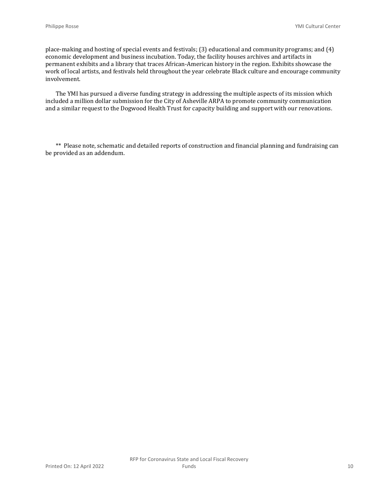place-making and hosting of special events and festivals; (3) educational and community programs; and (4) economic development and business incubation. Today, the facility houses archives and artifacts in permanent exhibits and a library that traces African-American history in the region. Exhibits showcase the work of local artists, and festivals held throughout the year celebrate Black culture and encourage community involvement.

The YMI has pursued a diverse funding strategy in addressing the multiple aspects of its mission which included a million dollar submission for the City of Asheville ARPA to promote community communication and a similar request to the Dogwood Health Trust for capacity building and support with our renovations.

\*\* Please note, schematic and detailed reports of construction and financial planning and fundraising can be provided as an addendum.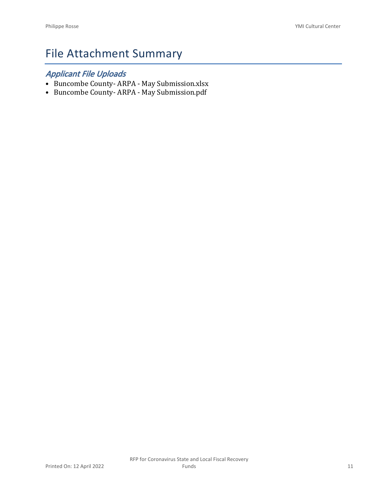# File Attachment Summary

## *Applicant File Uploads*

- Buncombe County- ARPA May Submission.xlsx
- Buncombe County- ARPA May Submission.pdf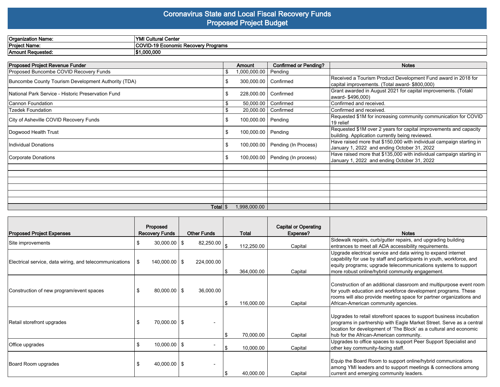## **Coronavirus State and Local Fiscal Recovery Funds Proposed Project Budget**

| <b>Organization Name:</b> | .<br>VM<br>l Cantai<br>vanci                             |
|---------------------------|----------------------------------------------------------|
| Project Name.             | <b>COVID-19 F</b><br>) Economic Recoverv Programs<br>vv: |
| Amount Requested.         | 1.000.000                                                |

| <b>Proposed Project Revenue Funder</b>              |      | <b>Amount</b>        | <b>Confirmed or Pending?</b>      | <b>Notes</b>                                                                                                         |
|-----------------------------------------------------|------|----------------------|-----------------------------------|----------------------------------------------------------------------------------------------------------------------|
| Proposed Buncombe COVID Recovery Funds              | S.   | 1,000,000.00         | Pending                           |                                                                                                                      |
| Buncombe County Tourism Development Authority (TDA) | S    | 300,000.00           | Confirmed                         | Received a Tourism Product Development Fund award in 2018 for<br>capital improvements. (Total award- \$800,000)      |
| National Park Service - Historic Preservation Fund  | S    | 228,000.00           | Confirmed                         | Grant awarded in August 2021 for capital improvements. (Totakl<br>award- \$496,000)                                  |
| l Cannon Foundation                                 |      | 50,000.00            | Confirmed                         | Confirmed and received.                                                                                              |
| <b>Tzedek Foundation</b>                            | -\$  | 20,000.00            | Confirmed                         | Confirmed and received.                                                                                              |
| City of Asheville COVID Recovery Funds              | S    | 100,000.00 Pending   |                                   | Requested \$1M for increasing community communication for COVID<br>19 relief                                         |
| Dogwood Health Trust                                | \$   | 100,000.00   Pending |                                   | Requested \$1M over 2 years for capital improvements and capacity<br>building. Application currently being reviewed. |
| Individual Donations                                | \$   |                      | 100,000.00   Pending (In Process) | Have raised more that \$150,000 with individual campaign starting in<br>January 1, 2022 and ending October 31, 2022  |
| Corporate Donations                                 | - \$ | 100,000.00           | Pending (In process)              | Have raised more that \$135,000 with individual campaign starting in<br>January 1, 2022 and ending October 31, 2022  |
|                                                     |      |                      |                                   |                                                                                                                      |
|                                                     |      |                      |                                   |                                                                                                                      |
|                                                     |      |                      |                                   |                                                                                                                      |
|                                                     |      |                      |                                   |                                                                                                                      |
|                                                     |      |                      |                                   |                                                                                                                      |
|                                                     |      |                      |                                   |                                                                                                                      |
| Total S                                             |      | 1,998,000.00         |                                   |                                                                                                                      |

| <b>Proposed Project Expenses</b>                        |     | Proposed<br><b>Recovery Funds</b> | <b>Other Funds</b> | Total      | <b>Capital or Operating</b><br>Expense? | <b>Notes</b>                                                                                                                                                                                                                                                 |
|---------------------------------------------------------|-----|-----------------------------------|--------------------|------------|-----------------------------------------|--------------------------------------------------------------------------------------------------------------------------------------------------------------------------------------------------------------------------------------------------------------|
| Site improvements                                       |     | $30,000.00$   \$                  | 82,250.00          | 112,250.00 | Capital                                 | Sidewalk repairs, curb/gutter repairs, and upgrading building<br>entrances to meet all ADA accessibility requirements.                                                                                                                                       |
| Electrical service, data wiring, and telecommunications | -\$ | $140,000.00$   \$                 | 224,000.00         | 364,000.00 | Capital                                 | Upgrade electrical service and data wiring to expand internet<br>capability for use by staff and participants in youth, workforce, and<br>equity programs; upgrade telecommunications systems to support<br>more robust online/hybrid community engagement.  |
| Construction of new program/event spaces                |     | $80,000.00$   \$                  | 36,000.00          | 116,000.00 | Capital                                 | Construction of an additional classroom and multipurpose event room<br>for youth education and workforce development programs. These<br>rooms will also provide meeting space for partner organizations and<br>African-American community agencies.          |
| Retail storefront upgrades                              |     | 70,000.00   \$                    |                    | 70,000.00  | Capital                                 | Upgrades to retail storefront spaces to support business incubation<br>programs in partnership with Eagle Market Street. Serve as a central<br>location for development of 'The Block' as a cultural and economic<br>hub for the African-American community. |
| Office upgrades                                         | \$  | $10,000.00$   \$                  |                    | 10,000.00  | Capital                                 | Upgrades to office spaces to support Peer Support Specialist and<br>other key community-facing staff.                                                                                                                                                        |
| Board Room upgrades                                     |     | $40,000.00$   \$                  |                    | 40,000.00  | Capital                                 | Equip the Board Room to support online/hybrid communications<br>among YMI leaders and to support meetings & connections among<br>current and emerging community leaders.                                                                                     |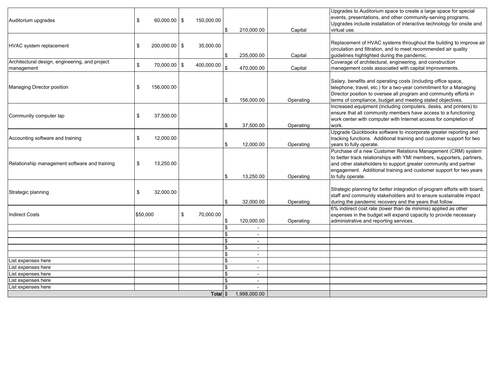| Auditorium upgrades                                          | \$<br>$60,000.00$   \$ | 150,000.00      | \$       | 210,000.00               | Capital   | Upgrades to Auditorium space to create a large space for special<br>events, presentations, and other community-serving programs.<br>Upgrades include installation of interactive technology for onsite and<br>virtual use.                                                                          |
|--------------------------------------------------------------|------------------------|-----------------|----------|--------------------------|-----------|-----------------------------------------------------------------------------------------------------------------------------------------------------------------------------------------------------------------------------------------------------------------------------------------------------|
| HVAC system replacement                                      | \$<br>$200,000.00$ \\$ | 35,000.00       | \$       | 235,000.00               | Capital   | Replacement of HVAC systems throughout the building to improve air<br>circulation and filtration, and to meet recommended air quality<br>guidelines highlighted during the pandemic.                                                                                                                |
| Architectural design, engineering, and project<br>management | \$<br>$70,000.00$   \$ | 400,000.00      | \$       | 470,000.00               | Capital   | Coverage of architectural, engineering, and construction<br>management costs associated with capital improvements.                                                                                                                                                                                  |
| Managing Director position                                   | \$<br>156,000.00       |                 | \$       | 156,000.00               | Operating | Salary, benefits and operating costs (including office space,<br>telephone, travel, etc.) for a two-year commitment for a Managing<br>Director position to oversee all program and community efforts in<br>terms of compliance, budget and meeting stated objectives.                               |
| Community computer lap                                       | \$<br>37,500.00        |                 | \$       | 37,500.00                | Operating | Increased equipment (including computers, desks, and printers) to<br>ensure that all community members have access to a functioning<br>work center with computer with Internet access for completion of<br>work.                                                                                    |
| Accounting software and training                             | \$<br>12,000.00        |                 | \$       | 12,000.00                | Operating | Upgrade Quickbooks software to incorporate greater reporting and<br>tracking functions. Additional training and customer support for two<br>years to fully operate.                                                                                                                                 |
| Relationship management software and training                | \$<br>13,250.00        |                 | \$       | 13,250.00                | Operating | Purchase of a new Customer Relations Management (CRM) system<br>to better track relationships with YMI members, supporters, partners,<br>and other stakeholders to support greater community and partner<br>engagement. Additional training and customer support for two years<br>to fully operate. |
| Strategic planning                                           | \$<br>32,000.00        |                 | \$       | 32,000.00                | Operating | Strategic planning for better integration of program efforts with board,<br>staff and community stakeholders and to ensure sustainable impact<br>during the pandemic recovery and the years that follow.                                                                                            |
| <b>Indirect Costs</b>                                        | \$50,000               | \$<br>70,000.00 | \$       | 120,000.00               | Operating | 6% indiirect cost rate (lower than de minimis) applied as other<br>expenses in the budget will expand capacity to provide necessary<br>administrative and reporting services.                                                                                                                       |
|                                                              |                        |                 | \$<br>\$ | $\overline{\phantom{a}}$ |           |                                                                                                                                                                                                                                                                                                     |
|                                                              |                        |                 | \$       | $\overline{\phantom{a}}$ |           |                                                                                                                                                                                                                                                                                                     |
|                                                              |                        |                 | \$       | $\overline{\phantom{a}}$ |           |                                                                                                                                                                                                                                                                                                     |
|                                                              |                        |                 | \$       |                          |           |                                                                                                                                                                                                                                                                                                     |
| List expenses here                                           |                        |                 | \$       | $\overline{\phantom{a}}$ |           |                                                                                                                                                                                                                                                                                                     |
| List expenses here                                           |                        |                 | \$       | $\blacksquare$           |           |                                                                                                                                                                                                                                                                                                     |
| List expenses here                                           |                        |                 | \$       | $\overline{\phantom{a}}$ |           |                                                                                                                                                                                                                                                                                                     |
| List expenses here                                           |                        |                 | \$       |                          |           |                                                                                                                                                                                                                                                                                                     |
| List expenses here                                           |                        |                 | \$       |                          |           |                                                                                                                                                                                                                                                                                                     |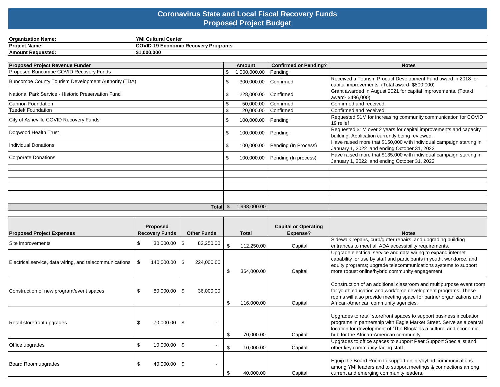## **Coronavirus State and Local Fiscal Recovery Funds Proposed Project Budget**

| <b>Organization Name:</b> | <b>IVMI</b><br><b>Cultural Center</b>                   |
|---------------------------|---------------------------------------------------------|
| <b>Project Name:</b>      | <b>ICOVID-19 Economic Recoverv F</b><br><b>Programs</b> |
| Amount Requested:         | 1.000.000                                               |

| <b>Proposed Project Revenue Funder</b>              |     | Amount       | <b>Confirmed or Pending?</b> | <b>Notes</b>                                                                                                         |
|-----------------------------------------------------|-----|--------------|------------------------------|----------------------------------------------------------------------------------------------------------------------|
| Proposed Buncombe COVID Recovery Funds              | \$  | 1,000,000.00 | Pending                      |                                                                                                                      |
| Buncombe County Tourism Development Authority (TDA) |     | 300,000.00   | Confirmed                    | Received a Tourism Product Development Fund award in 2018 for<br>capital improvements. (Total award-\$800,000)       |
| National Park Service - Historic Preservation Fund  |     | 228,000.00   | Confirmed                    | Grant awarded in August 2021 for capital improvements. (Totakl<br>award-\$496,000)                                   |
| Cannon Foundation                                   | \$  | 50,000.00    | Confirmed                    | Confirmed and received.                                                                                              |
| <b>Tzedek Foundation</b>                            |     | 20,000.00    | Confirmed                    | Confirmed and received.                                                                                              |
| City of Asheville COVID Recovery Funds              | \$. | 100,000.00   | Pending                      | Requested \$1M for increasing community communication for COVID<br>19 relief                                         |
| Dogwood Health Trust                                | £.  | 100,000.00   | Pending                      | Requested \$1M over 2 years for capital improvements and capacity<br>building. Application currently being reviewed. |
| Individual Donations                                | £.  | 100,000.00   | Pending (In Process)         | Have raised more that \$150,000 with individual campaign starting in<br>January 1, 2022 and ending October 31, 2022  |
| Corporate Donations                                 | £.  | 100,000.00   | Pending (In process)         | Have raised more that \$135,000 with individual campaign starting in<br>January 1, 2022 and ending October 31, 2022  |
|                                                     |     |              |                              |                                                                                                                      |
|                                                     |     |              |                              |                                                                                                                      |
|                                                     |     |              |                              |                                                                                                                      |
|                                                     |     |              |                              |                                                                                                                      |
|                                                     |     |              |                              |                                                                                                                      |
|                                                     |     |              |                              |                                                                                                                      |
| Total $$$                                           |     | 1,998,000.00 |                              |                                                                                                                      |

| <b>Proposed Project Expenses</b>                        |               | Proposed<br><b>Recovery Funds</b> |           | <b>Other Funds</b> | <b>Total</b>     | <b>Capital or Operating</b><br>Expense? | <b>Notes</b>                                                                                                                                                                                                                                                 |
|---------------------------------------------------------|---------------|-----------------------------------|-----------|--------------------|------------------|-----------------------------------------|--------------------------------------------------------------------------------------------------------------------------------------------------------------------------------------------------------------------------------------------------------------|
| Site improvements                                       | S             | $30,000.00$ \ \$                  |           | 82,250.00          | \$<br>112,250.00 | Capital                                 | Sidewalk repairs, curb/gutter repairs, and upgrading building<br>entrances to meet all ADA accessibility requirements.                                                                                                                                       |
| Electrical service, data wiring, and telecommunications | $\frac{1}{3}$ | 140,000.00 \$                     |           | 224,000.00         | \$<br>364,000.00 | Capital                                 | Upgrade electrical service and data wiring to expand internet<br>capability for use by staff and participants in youth, workforce, and<br>equity programs; upgrade telecommunications systems to support<br>more robust online/hybrid community engagement.  |
| Construction of new program/event spaces                | \$            | 80,000.00                         | <b>1S</b> | 36,000.00          | \$<br>116,000.00 | Capital                                 | Construction of an additional classroom and multipurpose event room<br>for youth education and workforce development programs. These<br>rooms will also provide meeting space for partner organizations and<br>African-American community agencies.          |
| Retail storefront upgrades                              |               | $70,000.00$   \$                  |           |                    | \$<br>70,000.00  | Capital                                 | Upgrades to retail storefront spaces to support business incubation<br>programs in partnership with Eagle Market Street. Serve as a central<br>location for development of 'The Block' as a cultural and economic<br>hub for the African-American community. |
| Office upgrades                                         | \$            | $10,000.00$ \ \$                  |           |                    | \$<br>10,000.00  | Capital                                 | Upgrades to office spaces to support Peer Support Specialist and<br>other key community-facing staff.                                                                                                                                                        |
| Board Room upgrades                                     | \$            | $40,000.00$   \$                  |           |                    | 40,000.00        | Capital                                 | Equip the Board Room to support online/hybrid communications<br>among YMI leaders and to support meetings & connections among<br>current and emerging community leaders.                                                                                     |